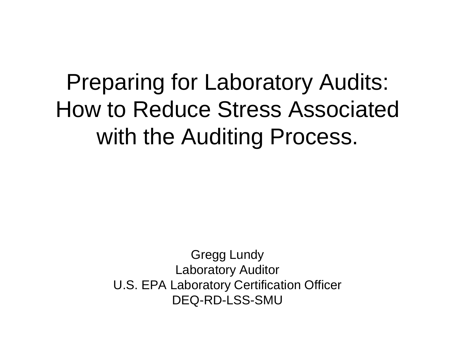### Preparing for Laboratory Audits: How to Reduce Stress Associated with the Auditing Process.

Gregg Lundy Laboratory Auditor U.S. EPA Laboratory Certification Officer DEQ-RD-LSS-SMU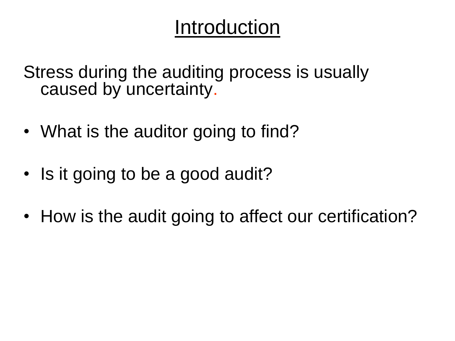#### Introduction

Stress during the auditing process is usually caused by uncertainty.

- What is the auditor going to find?
- Is it going to be a good audit?
- How is the audit going to affect our certification?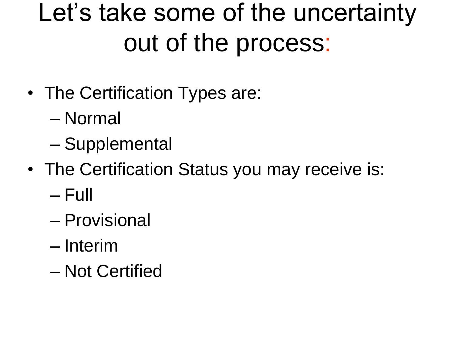## Let's take some of the uncertainty out of the process:

- The Certification Types are:
	- Normal
	- Supplemental
- The Certification Status you may receive is:
	- Full
	- Provisional
	- Interim
	- Not Certified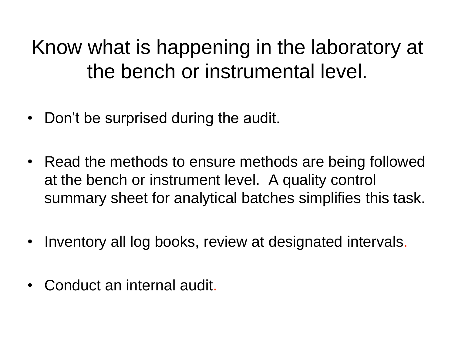#### Know what is happening in the laboratory at the bench or instrumental level.

- Don't be surprised during the audit.
- Read the methods to ensure methods are being followed at the bench or instrument level. A quality control summary sheet for analytical batches simplifies this task.
- Inventory all log books, review at designated intervals.
- Conduct an internal audit.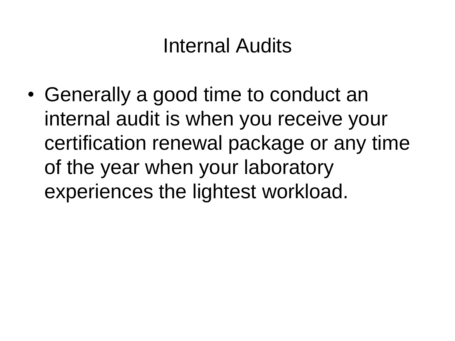#### Internal Audits

• Generally a good time to conduct an internal audit is when you receive your certification renewal package or any time of the year when your laboratory experiences the lightest workload.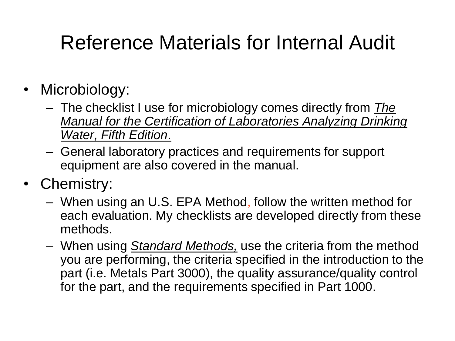#### Reference Materials for Internal Audit

- Microbiology:
	- The checklist I use for microbiology comes directly from *The Manual for the Certification of Laboratories Analyzing Drinking Water, Fifth Edition*.
	- General laboratory practices and requirements for support equipment are also covered in the manual.
- Chemistry:
	- When using an U.S. EPA Method, follow the written method for each evaluation. My checklists are developed directly from these methods.
	- When using *Standard Methods,* use the criteria from the method you are performing, the criteria specified in the introduction to the part (i.e. Metals Part 3000), the quality assurance/quality control for the part, and the requirements specified in Part 1000.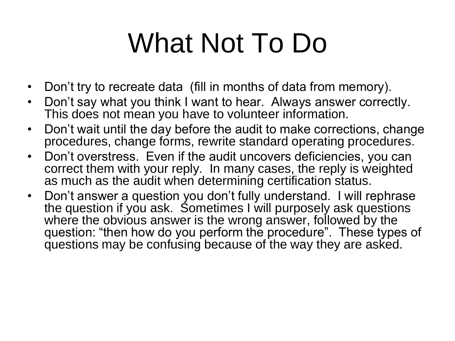# What Not To Do

- Don't try to recreate data (fill in months of data from memory).
- Don't say what you think I want to hear. Always answer correctly. This does not mean you have to volunteer information.
- Don't wait until the day before the audit to make corrections, change procedures, change forms, rewrite standard operating procedures.
- Don't overstress. Even if the audit uncovers deficiencies, you can correct them with your reply. In many cases, the reply is weighted as much as the audit when determining certification status.
- Don't answer a question you don't fully understand. I will rephrase the question if you ask. Sometimes I will purposely ask questions where the obvious answer is the wrong answer, followed by the question: "then how do you perform the procedure". These types of questions may be confusing because of the way they are asked.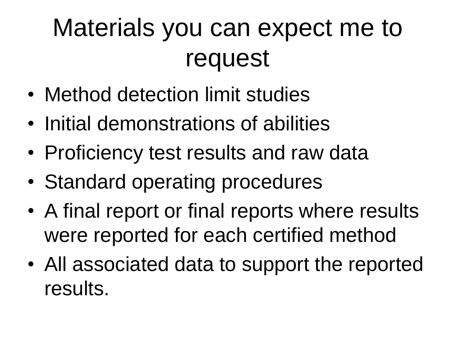## Materials you can expect me to request

- Method detection limit studies
- Initial demonstrations of abilities
- Proficiency test results and raw data
- Standard operating procedures
- A final report or final reports where results were reported for each certified method
- All associated data to support the reported results.